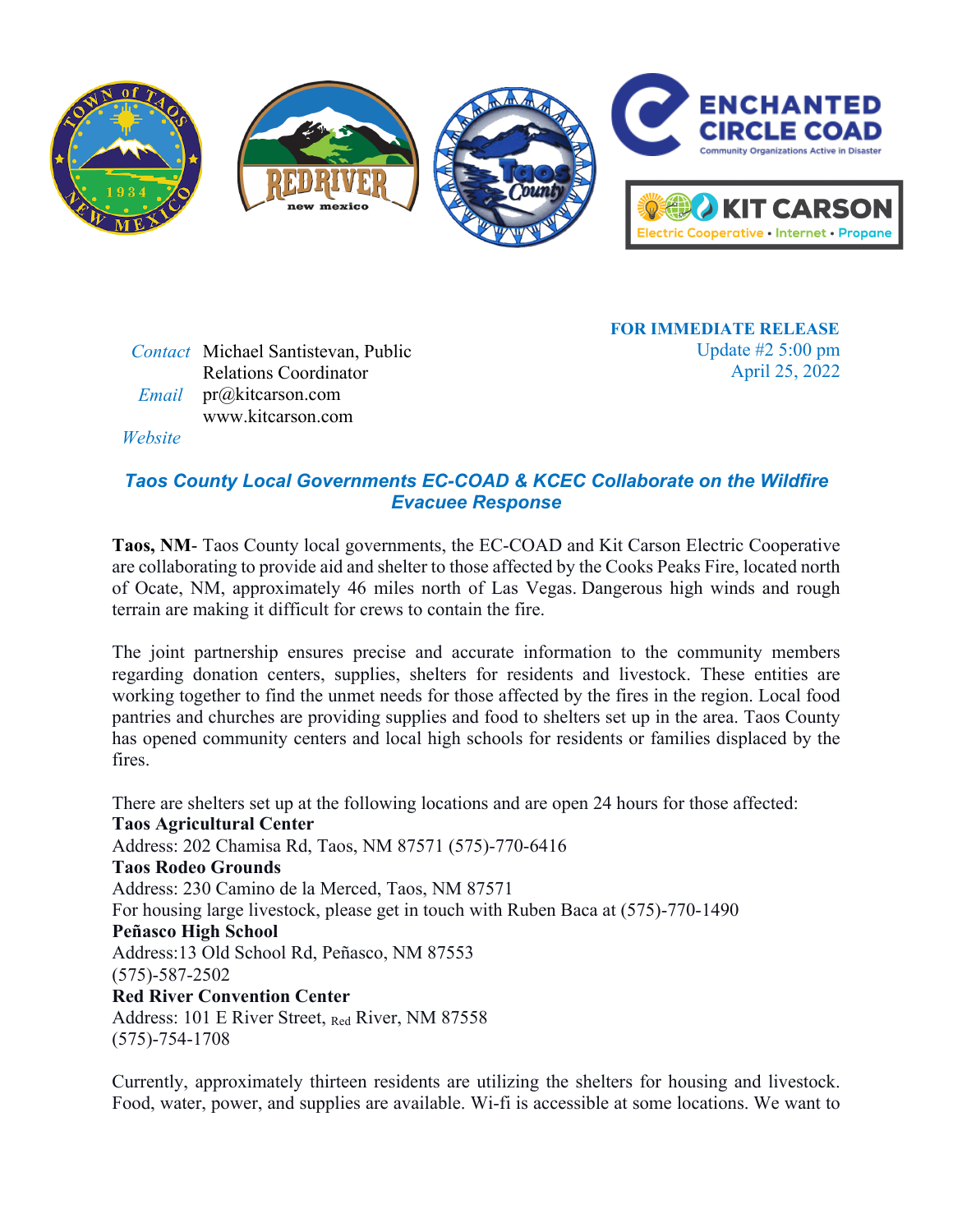

*Contact* Michael Santistevan, Public Relations Coordinator  *Email* pr@kitcarson.com *Website* www.kitcarson.com

**FOR IMMEDIATE RELEASE** Update #2 5:00 pm April 25, 2022

## *Taos County Local Governments EC-COAD & KCEC Collaborate on the Wildfire Evacuee Response*

**Taos, NM**- Taos County local governments, the EC-COAD and Kit Carson Electric Cooperative are collaborating to provide aid and shelter to those affected by the Cooks Peaks Fire, located north of Ocate, NM, approximately 46 miles north of Las Vegas. Dangerous high winds and rough terrain are making it difficult for crews to contain the fire.

The joint partnership ensures precise and accurate information to the community members regarding donation centers, supplies, shelters for residents and livestock. These entities are working together to find the unmet needs for those affected by the fires in the region. Local food pantries and churches are providing supplies and food to shelters set up in the area. Taos County has opened community centers and local high schools for residents or families displaced by the fires.

There are shelters set up at the following locations and are open 24 hours for those affected: **Taos Agricultural Center** Address: 202 Chamisa Rd, Taos, NM 87571 (575)-770-6416 **Taos Rodeo Grounds** Address: 230 Camino de la Merced, Taos, NM 87571 For housing large livestock, please get in touch with Ruben Baca at (575)-770-1490 **Peñasco High School** Address:13 Old School Rd, Peñasco, NM 87553 (575)-587-2502 **Red River Convention Center** Address: 101 E River Street, Red River, NM 87558 (575)-754-1708

Currently, approximately thirteen residents are utilizing the shelters for housing and livestock. Food, water, power, and supplies are available. Wi-fi is accessible at some locations. We want to